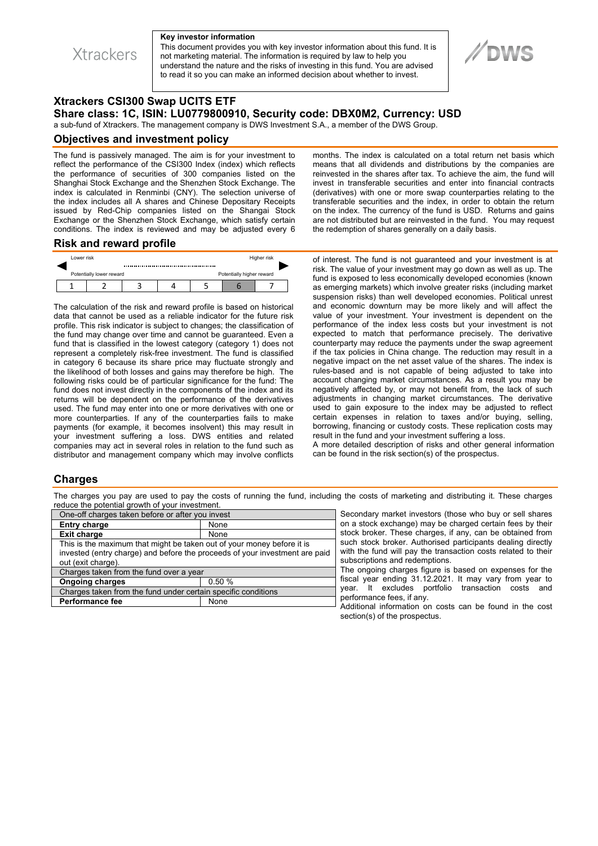**Xtrackers** 

#### **Key investor information**

This document provides you with key investor information about this fund. It is not marketing material. The information is required by law to help you understand the nature and the risks of investing in this fund. You are advised to read it so you can make an informed decision about whether to invest.

# **Xtrackers CSI300 Swap UCITS ETF Share class: 1C, ISIN: LU0779800910, Security code: DBX0M2, Currency: USD**

a sub-fund of Xtrackers. The management company is DWS Investment S.A., a member of the DWS Group.

#### **Objectives and investment policy**

The fund is passively managed. The aim is for your investment to reflect the performance of the CSI300 Index (index) which reflects the performance of securities of 300 companies listed on the Shanghai Stock Exchange and the Shenzhen Stock Exchange. The index is calculated in Renminbi (CNY). The selection universe of the index includes all A shares and Chinese Depositary Receipts issued by Red-Chip companies listed on the Shangai Stock Exchange or the Shenzhen Stock Exchange, which satisfy certain conditions. The index is reviewed and may be adjusted every 6

months. The index is calculated on a total return net basis which means that all dividends and distributions by the companies are reinvested in the shares after tax. To achieve the aim, the fund will invest in transferable securities and enter into financial contracts (derivatives) with one or more swap counterparties relating to the transferable securities and the index, in order to obtain the return on the index. The currency of the fund is USD. Returns and gains are not distributed but are reinvested in the fund. You may request the redemption of shares generally on a daily basis.

#### **Risk and reward profile**



The calculation of the risk and reward profile is based on historical data that cannot be used as a reliable indicator for the future risk profile. This risk indicator is subject to changes; the classification of the fund may change over time and cannot be guaranteed. Even a fund that is classified in the lowest category (category 1) does not represent a completely risk-free investment. The fund is classified in category 6 because its share price may fluctuate strongly and the likelihood of both losses and gains may therefore be high. The following risks could be of particular significance for the fund: The fund does not invest directly in the components of the index and its returns will be dependent on the performance of the derivatives used. The fund may enter into one or more derivatives with one or more counterparties. If any of the counterparties fails to make payments (for example, it becomes insolvent) this may result in your investment suffering a loss. DWS entities and related companies may act in several roles in relation to the fund such as distributor and management company which may involve conflicts

of interest. The fund is not guaranteed and your investment is at risk. The value of your investment may go down as well as up. The fund is exposed to less economically developed economies (known as emerging markets) which involve greater risks (including market suspension risks) than well developed economies. Political unrest and economic downturn may be more likely and will affect the value of your investment. Your investment is dependent on the performance of the index less costs but your investment is not expected to match that performance precisely. The derivative counterparty may reduce the payments under the swap agreement if the tax policies in China change. The reduction may result in a negative impact on the net asset value of the shares. The index is rules-based and is not capable of being adjusted to take into account changing market circumstances. As a result you may be negatively affected by, or may not benefit from, the lack of such adjustments in changing market circumstances. The derivative used to gain exposure to the index may be adjusted to reflect certain expenses in relation to taxes and/or buying, selling, borrowing, financing or custody costs. These replication costs may result in the fund and your investment suffering a loss.

A more detailed description of risks and other general information can be found in the risk section(s) of the prospectus.

### **Charges**

The charges you pay are used to pay the costs of running the fund, including the costs of marketing and distributing it. These charges reduce the potential growth of your investment.

| One-off charges taken before or after you invest                                                                                                                            |       |
|-----------------------------------------------------------------------------------------------------------------------------------------------------------------------------|-------|
| <b>Entry charge</b>                                                                                                                                                         | None  |
| <b>Exit charge</b>                                                                                                                                                          | None  |
| This is the maximum that might be taken out of your money before it is<br>invested (entry charge) and before the proceeds of your investment are paid<br>out (exit charge). |       |
| Charges taken from the fund over a year                                                                                                                                     |       |
| <b>Ongoing charges</b>                                                                                                                                                      | 0.50% |
| Charges taken from the fund under certain specific conditions                                                                                                               |       |
| <b>Performance fee</b>                                                                                                                                                      | None  |
|                                                                                                                                                                             |       |

Secondary market investors (those who buy or sell shares on a stock exchange) may be charged certain fees by their stock broker. These charges, if any, can be obtained from such stock broker. Authorised participants dealing directly with the fund will pay the transaction costs related to their subscriptions and redemptions.

The ongoing charges figure is based on expenses for the fiscal year ending 31.12.2021. It may vary from year to year. It excludes portfolio transaction costs and performance fees, if any.

Additional information on costs can be found in the cost section(s) of the prospectus.